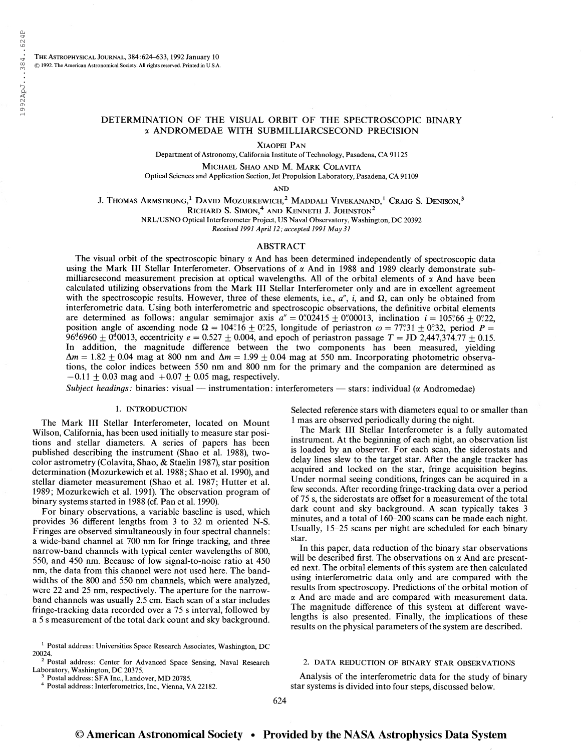# DETERMINATION OF THE VISUAL ORBIT OF THE SPECTROSCOPIC BINARY a ANDROMEDAE WITH SUBMILLIARCSECOND PRECISION

Xiaopei Pan

Department of Astronomy, California Institute of Technology, Pasadena, CA 91125

Michael Shao and M. Mark Colavita

Optical Sciences and Application Section, Jet Propulsion Laboratory, Pasadena, CA 91109

AND

J. Thomas Armstrong,<sup>1</sup> David Mozurkewich,<sup>2</sup> Maddali Vivekanand,<sup>1</sup> Craig S. Denison,<sup>3</sup>

RICHARD S. SIMON,<sup>4</sup> AND KENNETH J. JOHNSTON<sup>2</sup>

NRL/USNO Optical Interferometer Project, US Naval Observatory, Washington, DC 20392

Received 1991 April 12; accepted 1991 May 31

## ABSTRACT

The visual orbit of the spectroscopic binary  $\alpha$  And has been determined independently of spectroscopic data using the Mark III Stellar Interferometer. Observations of  $\alpha$  And in 1988 and 1989 clearly demonstrate submilliarcsecond measurement precision at optical wavelengths. All of the orbital elements of  $\alpha$  And have been calculated utilizing observations from the Mark III Stellar Interferometer only and are in excellent agreement with the spectroscopic results. However, three of these elements, i.e.,  $a''$ , i, and  $\Omega$ , can only be obtained from interferometric data. Using both interferometric and spectroscopic observations, the definitive orbital elements are determined as follows: angular semimajor axis  $a'' = 0''/02415 \pm 0''/00013$ , inclination  $i = 105\degree 66 + 0\degree 22$ , position angle of ascending node  $\Omega = 104.16 \pm 0.25$ , longitude of periastron  $\omega = 77.31 \pm 0.32$ , period  $P =$ 96.6960  $\pm$  0.0013, eccentricity  $e = 0.527 \pm 0.004$ , and epoch of periastron passage  $T = JD \ 2,447,374.77 \pm 0.15$ . In addition, the magnitude difference between the two components has been measured, yielding  $\Delta m = 1.82 \pm 0.04$  mag at 800 nm and  $\Delta m = 1.99 \pm 0.04$  mag at 550 nm. Incorporating photometric observations, the color indices between 550 nm and 800 nm for the primary and the companion are determined as  $-0.11 \pm 0.03$  mag and  $+0.07 \pm 0.05$  mag, respectively.

Subject headings: binaries: visual — instrumentation: interferometers — stars: individual ( $\alpha$  Andromedae)

#### 1. INTRODUCTION

The Mark III Stellar Interferometer, located on Mount Wilson, California, has been used initially to measure star positions and stellar diameters. A series of papers has been published describing the instrument (Shao et al. 1988), twocolor astrometry (Colavita, Shao, & Staelin 1987), star position determination (Mozurkewich et al. 1988; Shao et al. 1990), and stellar diameter measurement (Shao et al. 1987; Hutter et al. 1989; Mozurkewich et al. 1991). The observation program of binary systems started in 1988 (cf. Pan et al. 1990).

For binary observations, a variable baseline is used, which provides 36 different lengths from 3 to 32 m oriented N-S. Fringes are observed simultaneously in four spectral channels: a wide-band channel at 700 nm for fringe tracking, and three narrow-band channels with typical center wavelengths of 800, 550, and 450 nm. Because of low signal-to-noise ratio at 450 nm, the data from this channel were not used here. The bandwidths of the 800 and 550 nm channels, which were analyzed, were 22 and 25 nm, respectively. The aperture for the narrowband channels was usually 2.5 cm. Each scan of a star includes fringe-tracking data recorded over a 75 s interval, followed by a 5 s measurement of the total dark count and sky background.

<sup>1</sup> Postal address: Universities Space Research Associates, Washington, DC

<sup>2</sup> Postal address: Center for Advanced Space Sensing, Naval Research Laboratory, Washington, DC 20375.

Postal address: SFA Inc., Landover, MD 20785.

Postal address: Interferometries, Inc., Vienna, VA 22182.

Selected reference stars with diameters equal to or smaller than <sup>1</sup> mas are observed periodically during the night.

The Mark III Stellar Interferometer is a fully automated instrument. At the beginning of each night, an observation list is loaded by an observer. For each scan, the siderostats and delay lines slew to the target star. After the angle tracker has acquired and locked on the star, fringe acquisition begins. Under normal seeing conditions, fringes can be acquired in a few seconds. After recording fringe-tracking data over a period of 75 s, the siderostats are offset for a measurement of the total dark count and sky background. A scan typically takes 3 minutes, and a total of 160-200 scans can be made each night. Usually, 15-25 scans per night are scheduled for each binary star.

In this paper, data reduction of the binary star observations will be described first. The observations on  $\alpha$  And are presented next. The orbital elements of this system are then calculated using interferometric data only and are compared with the results from spectroscopy. Predictions of the orbital motion of  $\alpha$  And are made and are compared with measurement data. The magnitude difference of this system at different wavelengths is also presented. Finally, the implications of these results on the physical parameters of the system are described.

# 2. DATA REDUCTION OF BINARY STAR OBSERVATIONS

Analysis of the interferometric data for the study of binary star systems is divided into four steps, discussed below.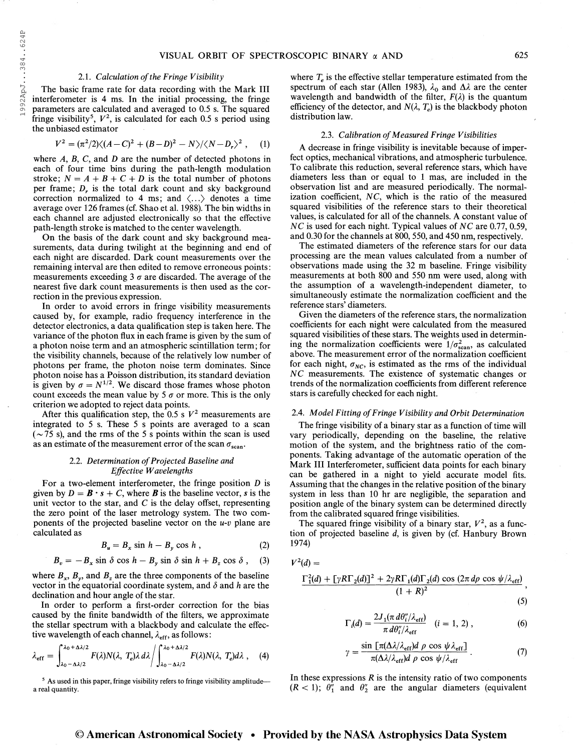#### 2.1. Calculation of the Fringe Visibility

The basic frame rate for data recording with the Mark III interferometer is 4 ms. In the initial processing, the fringe parameters are calculated and averaged to 0.5 s. The squared fringe visibility<sup>5</sup>,  $V^2$ , is calculated for each 0.5 s period using the unbiased estimator

$$
V^{2} = (\pi^{2}/2)\langle (A-C)^{2} + (B-D)^{2} - N \rangle / \langle N-D_{r} \rangle^{2}, \quad (1)
$$

where  $A$ ,  $B$ ,  $C$ , and  $D$  are the number of detected photons in each of four time bins during the path-length modulation stroke;  $N = A + B + C + D$  is the total number of photons per frame;  $D_r$ , is the total dark count and sky background correction normalized to 4 ms; and  $\langle \ldots \rangle$  denotes a time average over 126 frames (cf. Shao et al. 1988). The bin widths in each channel are adjusted electronically so that the effective path-length stroke is matched to the center wavelength.

On the basis of the dark count and sky background measurements, data during twilight at the beginning and end of each night are discarded. Dark count measurements over the remaining interval are then edited to remove erroneous points: measurements exceeding 3  $\sigma$  are discarded. The average of the nearest five dark count measurements is then used as the correction in the previous expression.

In order to avoid errors in fringe visibility measurements caused by, for example, radio frequency interference in the detector electronics, a data qualification step is taken here. The variance of the photon flux in each frame is given by the sum of a photon noise term and an atmospheric scintillation term; for the visibility channels, because of the relatively low number of photons per frame, the photon noise term dominates. Since photon noise has a Poisson distribution, its standard deviation is given by  $\sigma = N^{1/2}$ . We discard those frames whose photon count exceeds the mean value by 5  $\sigma$  or more. This is the only criterion we adopted to reject data points.

After this qualification step, the 0.5 s  $V^2$  measurements are integrated to 5 s. These 5 s points are averaged to a scan  $(-75 s)$ , and the rms of the 5 s points within the scan is used as an estimate of the measurement error of the scan  $\sigma_{\text{scan}}$ .

#### 2.2. Determination of Projected Baseline and Effective Wavelengths

For a two-element interferometer, the fringe position D is given by  $D = \mathbf{B} \cdot \mathbf{s} + C$ , where **B** is the baseline vector, s is the unit vector to the star, and  $C$  is the delay offset, representing the zero point of the laser metrology system. The two components of the projected baseline vector on the  $u-v$  plane are calculated as

$$
B_u = B_x \sin h - B_y \cos h , \qquad (2)
$$

$$
B_v = -B_x \sin \delta \cos h - B_y \sin \delta \sin h + B_z \cos \delta ,
$$
 (3)

where  $B_x$ ,  $B_y$ , and  $B_z$  are the three components of the baseline vector in the equatorial coordinate system, and  $\delta$  and h are the declination and hour angle of the star.

In order to perform a first-order correction for the bias caused by the finite bandwidth of the filters, we approximate the stellar spectrum with a blackbody and calculate the effective wavelength of each channel,  $\lambda_{\text{eff}}$ , as follows:

$$
\lambda_{\rm eff} = \int_{\lambda_0 - \Delta \lambda/2}^{\lambda_0 + \Delta \lambda/2} F(\lambda) N(\lambda, T_e) \lambda \, d\lambda \bigg/ \int_{\lambda_0 - \Delta \lambda/2}^{\lambda_0 + \Delta \lambda/2} F(\lambda) N(\lambda, T_e) d\lambda \tag{4}
$$

where  $T_e$  is the effective stellar temperature estimated from the spectrum of each star (Allen 1983),  $\lambda_0$  and  $\Delta\lambda$  are the center wavelength and bandwidth of the filter,  $F(\lambda)$  is the quantum efficiency of the detector, and  $N(\lambda, T_e)$  is the blackbody photon distribution law.

#### 2.3. Calibration of Measured Fringe Visibilities

A decrease in fringe visibility is inevitable because of imperfect optics, mechanical vibrations, and atmospheric turbulence. To calibrate this reduction, several reference stars, which have diameters less than or equal to <sup>1</sup> mas, are included in the observation list and are measured periodically. The normalization coefficient,  $NC$ , which is the ratio of the measured squared visibilities of the reference stars to their theoretical values, is calculated for all of the channels. A constant value of NC is used for each night. Typical values of NC are 0.77, 0.59, and 0.30 for the channels at 800, 550, and 450 nm, respectively.

The estimated diameters of the reference stars for our data processing are the mean values calculated from a number of observations made using the 32 m baseline. Fringe visibility measurements at both 800 and 550 nm were used, along with the assumption of a wavelength-independent diameter, to simultaneously estimate the normalization coefficient and the reference stars' diameters.

Given the diameters of the reference stars, the normalization coefficients for each night were calculated from the measured squared visibilities of these stars. The weights used in determining the normalization coefficients were  $1/\sigma_{\text{scan}}^2$ , as calculated above. The measurement error of the normalization coefficient for each night,  $\sigma_{NC}$ , is estimated as the rms of the individual NC measurements. The existence of systematic changes or trends of the normalization coefficients from different reference stars is carefully checked for each night.

#### 2.4. Model Fitting of Fringe Visibility and Orbit Determination

The fringe visibility of a binary star as a function of time will vary periodically, depending on the baseline, the relative motion of the system, and the brightness ratio of the components. Taking advantage of the automatic operation of the Mark III Interferometer, sufficient data points for each binary can be gathered in a night to yield accurate model fits. Assuming that the changes in the relative position of the binary system in less than 10 hr are negligible, the separation and position angle of the binary system can be determined directly from the calibrated squared fringe visibilities.

The squared fringe visibility of a binary star,  $V^2$ , as a function of projected baseline d, is given by (cf. Hanbury Brown 1974)

$$
V^2(d) =
$$

$$
\frac{\Gamma_1^2(d) + \left[\gamma R\Gamma_2(d)\right]^2 + 2\gamma R\Gamma_1(d)\Gamma_2(d)\cos\left(2\pi d\rho\cos\psi/\lambda_{\text{eff}}\right)}{(1+R)^2},
$$

$$
\bullet \quad (5)
$$

$$
\Gamma_i(d) = \frac{2J_1(\pi d\theta_i''/\lambda_{\rm eff})}{\pi d\theta_i''/\lambda_{\rm eff}} \quad (i = 1, 2) ,
$$
 (6)

$$
\gamma = \frac{\sin \left[ \pi (\Delta \lambda / \lambda_{\rm eff}) d \rho \cos \psi \lambda_{\rm eff} \right]}{\pi (\Delta \lambda / \lambda_{\rm eff}) d \rho \cos \psi / \lambda_{\rm eff}} \,. \tag{7}
$$

<sup>5</sup> As used in this paper, fringe visibility refers to fringe visibility amplitude-<br>a real quantity.<br> $(R < 1)$ ;  $\theta_1''$  and  $\theta_2''$  are the angular diameters (equivalent  $(R < 1)$ ;  $\theta_1^{\prime\prime}$  and  $\theta_2^{\prime\prime}$  are the angular diameters (equivalent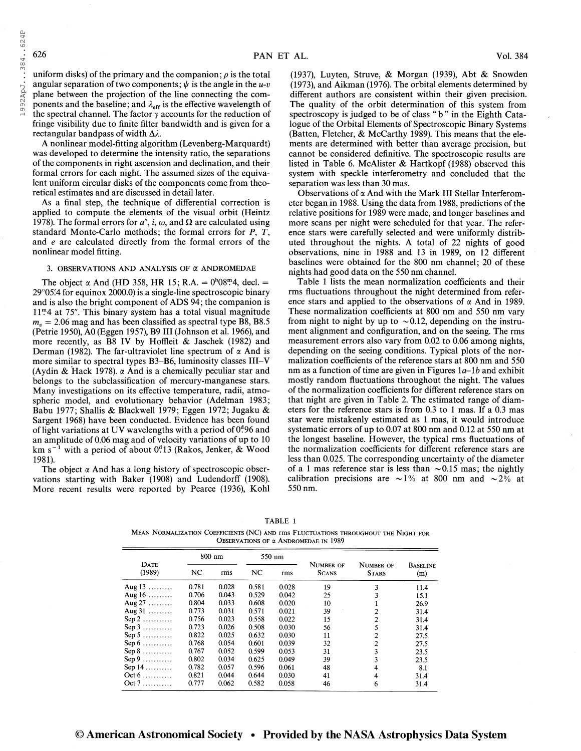uniform disks) of the primary and the companion;  $\rho$  is the total angular separation of two components;  $\psi$  is the angle in the u-v plane between the projection of the line connecting the components and the baseline; and  $\lambda_{\text{eff}}$  is the effective wavelength of the spectral channel. The factor  $\gamma$  accounts for the reduction of fringe visibility due to finite filter bandwidth and is given for a rectangular bandpass of width  $\Delta \lambda$ .

A nonlinear model-fitting algorithm (Levenberg-Marquardt) was developed to determine the intensity ratio, the separations of the components in right ascension and declination, and their formal errors for each night. The assumed sizes of the equivalent uniform circular disks of the components come from theoretical estimates and are discussed in detail later.

As a final step, the technique of differential correction is applied to compute the elements of the visual orbit (Heintz 1978). The formal errors for  $a''$ , i,  $\omega$ , and  $\Omega$  are calculated using standard Monte-Carlo methods; the formal errors for P, T, and e are calculated directly from the formal errors of the nonlinear model fitting.

#### 3. OBSERVATIONS AND ANALYSIS OF  $\alpha$  ANDROMEDAE

The object  $\alpha$  And (HD 358, HR 15; R.A. =  $0^{h}08^{m}4$ , decl. = 29°05!4 for equinox 2000.0) is a single-line spectroscopic binary and is also the bright component of ADS 94; the companion is  $11<sup>m</sup>4$  at 75". This binary system has a total visual magnitude  $m_v = 2.06$  mag and has been classified as spectral type B8, B8.5 (Petrie 1950), A0 (Eggen 1957), B9 III (Johnson et al. 1966), and more recently, as B8 IV by Hoffleit & Jaschek (1982) and Derman (1982). The far-ultraviolet line spectrum of  $\alpha$  And is more similar to spectral types B3-B6, luminosity classes III-V (Aydin & Hack 1978).  $\alpha$  And is a chemically peculiar star and belongs to the subclassification of mercury-manganese stars. Many investigations on its effective temperature, radii, atmospheric model, and evolutionary behavior (Adelman 1983; Babu 1977; Shallis & Blackwell 1979; Eggen 1972; Jugaku & Sargent 1968) have been conducted. Evidence has been found of light variations at UV wavelengths with a period of  $0^0.96$  and an amplitude of 0.06 mag and of velocity variations of up to 10 an amplitude of 0.06 mag and of velocity variations of up to 10 km  $s^{-1}$  with a period of about 0.1 (Rakos, Jenker, & Wood 1981).

The object  $\alpha$  And has a long history of spectroscopic observations starting with Baker (1908) and Ludendorff (1908). More recent results were reported by Pearce (1936), Kohl

(1937), Luyten, Struve, & Morgan (1939), Abt & Snowden (1973), and Aikman (1976). The orbital elements determined by different authors are consistent within their given precision. The quality of the orbit determination of this system from spectroscopy is judged to be of class "b" in the Eighth Catalogue of the Orbital Elements of Spectroscopic Binary Systems (Batten, Fletcher, & McCarthy 1989). This means that the elements are determined with better than average precision, but cannot be considered definitive. The spectroscopic results are listed in Table 6. McAlister & Hartkopf (1988) observed this system with speckle interferometry and concluded that the separation was less than 30 mas.

Observations of  $\alpha$  And with the Mark III Stellar Interferometer began in 1988. Using the data from 1988, predictions of the relative positions for 1989 were made, and longer baselines and more scans per night were scheduled for that year. The reference stars were carefully selected and were uniformly distributed throughout the nights. A total of 22 nights of good observations, nine in 1988 and 13 in 1989, on 12 different baselines were obtained for the 800 nm channel; 20 of these nights had good data on the 550 nm channel.

Table <sup>1</sup> lists the mean normalization coefficients and their rms fluctuations throughout the night determined from reference stars and applied to the observations of  $\alpha$  And in 1989. These normalization coefficients at 800 nm and 550 nm vary from night to night by up to  $\sim 0.12$ , depending on the instrument alignment and configuration, and on the seeing. The rms measurement errors also vary from 0.02 to 0.06 among nights, depending on the seeing conditions. Typical plots of the normalization coefficients of the reference stars at 800 nm and 550 nm as a function of time are given in Figures  $1a-1b$  and exhibit mostly random fluctuations throughout the night. The values of the normalization coefficients for different reference stars on that night are given in Table 2. The estimated range of diameters for the reference stars is from 0.3 to <sup>1</sup> mas. If a 0.3 mas star were mistakenly estimated as <sup>1</sup> mas, it would introduce systematic errors of up to 0.07 at 800 nm and 0.12 at 550 nm at the longest baseline. However, the typical rms fluctuations of the normalization coefficients for different reference stars are less than 0.025. The corresponding uncertainty of the diameter of a 1 mas reference star is less than  $\sim 0.15$  mas; the nightly calibration precisions are  $\sim$ 1% at 800 nm and  $\sim$ 2% at 550 nm.

| R<br>I<br>. . | . . |
|---------------|-----|
|---------------|-----|

Mean Normalization Coefficients (NC) and rms Fluctuations throughout the Night for Observations of  $\alpha$  Andromedae in 1989

|                              |       | $800$ nm |       | 550 nm |                           |                           |                        |
|------------------------------|-------|----------|-------|--------|---------------------------|---------------------------|------------------------|
| DATE<br>(1989)               | NC    | rms      | NC    | rms    | NUMBER OF<br><b>SCANS</b> | NUMBER OF<br><b>STARS</b> | <b>BASELINE</b><br>(m) |
| Aug $13$                     | 0.781 | 0.028    | 0.581 | 0.028  | 19                        | 3                         | 11.4                   |
| Aug $16$                     | 0.706 | 0.043    | 0.529 | 0.042  | 25                        |                           | 15.1                   |
| Aug $27$                     | 0.804 | 0.033    | 0.608 | 0.020  | 10                        |                           | 26.9                   |
| Aug $31$                     | 0.773 | 0.031    | 0.571 | 0.021  | 39                        |                           | 31.4                   |
| $Sep 2$                      | 0.756 | 0.023    | 0.558 | 0.022  | 15                        | 2                         | 31.4                   |
| $Sep 3$                      | 0.723 | 0.026    | 0.508 | 0.030  | 56                        |                           | 31.4                   |
| Sep 5 $\dots$                | 0.822 | 0.025    | 0.632 | 0.030  | 11                        | 2                         | 27.5                   |
| Sep $6 \ldots \ldots \ldots$ | 0.768 | 0.054    | 0.601 | 0.039  | 32                        | 2                         | 27.5                   |
| $Sep 8$                      | 0.767 | 0.052    | 0.599 | 0.053  | 31                        | 3                         | 23.5                   |
| $Sep 9$                      | 0.802 | 0.034    | 0.625 | 0.049  | 39                        | 3                         | 23.5                   |
| Sep $14$                     | 0.782 | 0.057    | 0.596 | 0.061  | 48                        | 4                         | 8.1                    |
| $Oct6$                       | 0.821 | 0.044    | 0.644 | 0.030  | 41                        | 4                         | 31.4                   |
| Oct 7                        | 0.777 | 0.062    | 0.582 | 0.058  | 46                        | 6                         | 31.4                   |

1992ApJ...384..624P 1992ApJ. . .384. .624P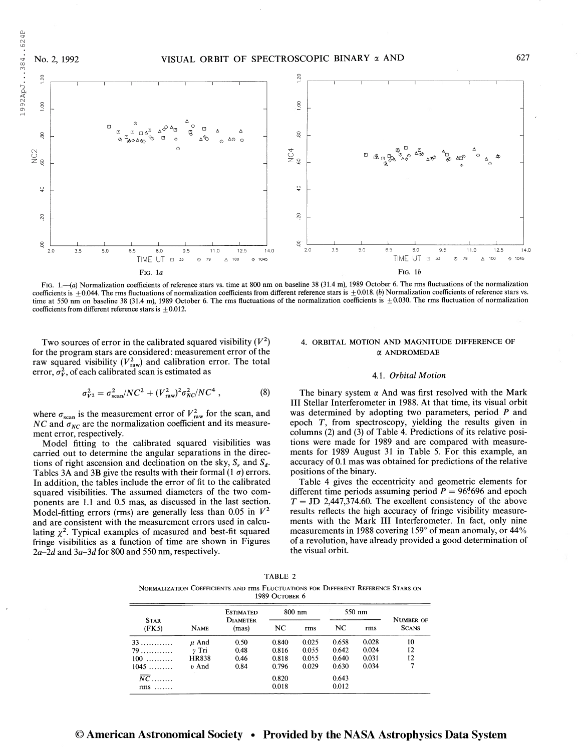

FIG. 1.—(a) Normalization coefficients of reference stars vs. time at 800 nm on baseline 38 (31.4 m), 1989 October 6. The rms fluctuations of the normalization coefficients is  $\pm 0.044$ . The rms fluctuations of normalization coefficients from different reference stars is  $\pm 0.018$ . (b) Normalization coefficients of reference stars vs. time at 550 nm on baseline 38 (31.4 m), 1989 October 6. The rms fluctuations of the normalization coefficients is  $\pm 0.030$ . The rms fluctuation of normalization coefficients from different reference stars is  $+0.012$ .

Two sources of error in the calibrated squared visibility  $(V^2)$ for the program stars are considered: measurement error of the raw squared visibility  $(V_{\text{raw}}^2)$  and calibration error. The total error,  $\sigma_v^2$ , of each calibrated scan is estimated as

$$
\sigma_{V^2}^2 = \sigma_{\text{scan}}^2 / N C^2 + (V_{\text{raw}}^2)^2 \sigma_{NC}^2 / N C^4 , \qquad (8)
$$

where  $\sigma_{\text{scan}}$  is the measurement error of  $V_{\text{raw}}^2$  for the scan, and NC and  $\sigma_{NC}$  are the normalization coefficient and its measurement error, respectively.

Model fitting to the calibrated squared visibilities was carried out to determine the angular separations in the directions of right ascension and declination on the sky,  $S_r$ , and  $S_d$ . Tables 3A and 3B give the results with their formal (1  $\sigma$ ) errors. In addition, the tables include the error of fit to the calibrated squared visibilities. The assumed diameters of the two components are 1.1 and 0.5 mas, as discussed in the last section. Model-fitting errors (rms) are generally less than 0.05 in  $V^2$ and are consistent with the measurement errors used in calculating  $\chi^2$ . Typical examples of measured and best-fit squared fringe visibilities as a function of time are shown in Figures 2a-2d and 3a-3d for 800 and 550 nm, respectively.

# 4. ORBITAL MOTION AND MAGNITUDE DIFFERENCE OF a ANDROMEDAE

#### 4.1. Orbital Motion

The binary system  $\alpha$  And was first resolved with the Mark III Stellar Interferometer in 1988. At that time, its visual orbit was determined by adopting two parameters, period P and epoch T, from spectroscopy, yielding the results given in columns (2) and (3) of Table 4. Predictions of its relative positions were made for 1989 and are compared with measurements for 1989 August 31 in Table 5. For this example, an accuracy of 0.1 mas was obtained for predictions of the relative positions of the binary.

Table 4 gives the eccentricity and geometric elements for different time periods assuming period  $P = 96^{d}696$  and epoch  $T = JD 2,447,374.60$ . The excellent consistency of the above results reflects the high accuracy of fringe visibility measurements with the Mark III Interferometer. In fact, only nine measurements in 1988 covering 159° of mean anomaly, or 44% of a revolution, have already provided a good determination of the visual orbit.

TABLE 2

Normalization Coefficients and rms Fluctuations for Different Reference Stars on

1989 October 6

|                      |             | <b>ESTIMATED</b>         | $800$ nm |       | 550 nm |       |                                  |  |
|----------------------|-------------|--------------------------|----------|-------|--------|-------|----------------------------------|--|
| <b>STAR</b><br>(FK5) | <b>NAME</b> | <b>DIAMETER</b><br>(mas) | NC       | rms   | NC     | rms   | <b>NUMBER OF</b><br><b>SCANS</b> |  |
| 33                   | $\mu$ And   | 0.50                     | 0.840    | 0.025 | 0.658  | 0.028 | 10                               |  |
| 79                   | $\nu$ Tri   | 0.48                     | 0.816    | 0.055 | 0.642  | 0.024 | 12                               |  |
| $100$                | HR838       | 0.46                     | 0.818    | 0.055 | 0.640  | 0.031 | 12                               |  |
| $1045$               | v And       | 0.84                     | 0.796    | 0.029 | 0.630  | 0.034 | 7                                |  |
|                      |             |                          | 0.820    |       | 0.643  |       |                                  |  |
| $rms$                |             |                          | 0.018    |       | 0.012  |       |                                  |  |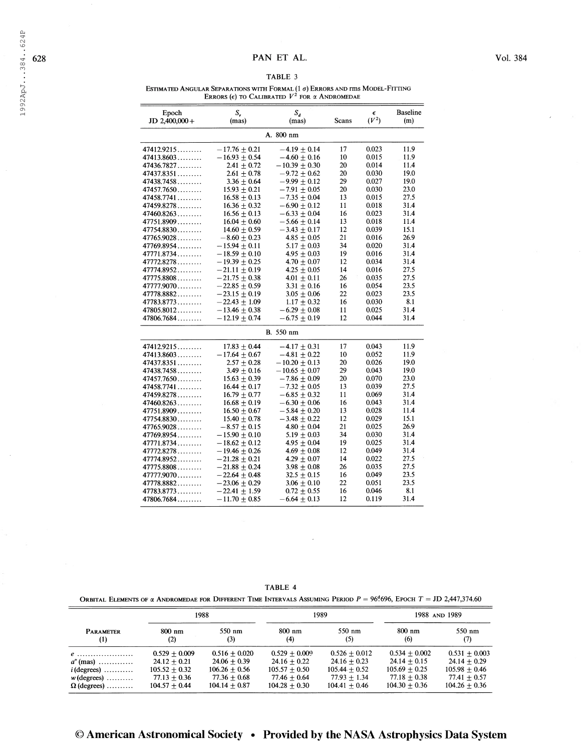1992ApJ...384..624P

# TABLE 3

Estimated Angular Separations with Formal  $(1\ \sigma)$  Errors and rms Model-Fitting ERRORS  $(\epsilon)$  TO CALIBRATED  $V^2$  FOR  $\alpha$  ANDROMEDAE

| Epoch<br>$JD$ 2,400,000 + | S,<br>(mas)       | $S_d$<br>(mas)    | Scans | €<br>$(V^2)$ | <b>Baseline</b><br>(m) |
|---------------------------|-------------------|-------------------|-------|--------------|------------------------|
|                           |                   | A. 800 nm         |       |              |                        |
| 47412.9215                | $-17.76 + 0.21$   | $-4.19 + 0.14$    | 17    | 0.023        | 11.9                   |
| 47413.8603                | $-16.93\pm0.54$   | $-4.60\pm0.16$    | 10    | 0.015        | 11.9                   |
| 47436.7827                | $2.41 \pm 0.72$   | $-10.39 \pm 0.30$ | 20    | 0.014        | 11.4                   |
| 47437.8351                | $2.61 \pm 0.78$   | $-9.72 \pm 0.62$  | 20    | 0.030        | 19.0                   |
| 47438.7458                | $3.36 \pm 0.64$   | $-9.99 \pm 0.12$  | 29    | 0.027        | 19.0                   |
| 47457.7650                | $15.93 + 0.21$    | $-7.91 + 0.05$    | 20    | 0.030        | 23.0                   |
| 47458.7741                | $16.58 \pm 0.13$  | $-7.35 \pm 0.04$  | 13    | 0.015        | 27.5                   |
| 47459.8278                | $16.36 \pm 0.32$  | $-6.90 \pm 0.12$  | 11    | 0.018        | 31.4                   |
| 47460.8263                | $16.56 \pm 0.13$  | $-6.33\pm0.04$    | 16    | 0.023        | 31.4                   |
| 47751.8909                | $16.04 + 0.60$    | $-5.66 + 0.14$    | 13    | 0.018        | 11.4                   |
| 47754.8830                | $14.60 + 0.59$    | $-3.43\pm0.17$    | 12    | 0.039        | 15.1                   |
| 47765.9028                | $-8.60\pm0.23$    | $4.85 \pm 0.05$   | 21    | 0.016        | 26.9                   |
| 47769.8954                | $-15.94 + 0.11$   | $5.17 + 0.03$     | 34    | 0.020        | 31.4                   |
| 47771.8734                | $-18.59 + 0.10$   | $4.95 + 0.03$     | 19    | 0.016        | 31.4                   |
| 47772.8278                | $-19.39 + 0.25$   | $4.70 + 0.07$     | 12    | 0.034        | 31.4                   |
| 47774.8952                | $-21.11 \pm 0.19$ | $4.25 \pm 0.05$   | 14    | 0.016        | 27.5                   |
| 47775.8808                | $-21.75 \pm 0.38$ | $4.01 \pm 0.11$   | 26    | 0.035        | 27.5                   |
| $47777.9070$              | $-22.85 + 0.59$   | $3.31 + 0.16$     | 16    | 0.054        | 23.5                   |
| 47778.8882                | $-23.15 \pm 0.19$ | $3.05 \pm 0.06$   | 22    | 0.023        | 23.5                   |
| 47783.8773                | $-22.43 + 1.09$   | $1.17 + 0.32$     | 16    | 0.030        | 8.1                    |
| 47805.8012                | $-13.46 \pm 0.38$ | $-6.29 \pm 0.08$  | 11    | 0.025        | 31.4                   |
| 47806.7684                | $-12.19 \pm 0.74$ | $-6.75 \pm 0.19$  | 12    | 0.044        | 31.4                   |
|                           |                   | <b>B.</b> 550 nm  |       |              |                        |
| 47412.9215                | $17.83 \pm 0.44$  | $-4.17 \pm 0.31$  | 17    | 0.043        | 11.9                   |
| 47413.8603                | $-17.64\pm0.67$   | $-4.81 \pm 0.22$  | 10    | 0.052        | 11.9                   |
| 47437.8351                | $2.57 \pm 0.28$   | $-10.20\pm0.13$   | 20    | 0.026        | 19.0                   |
| 47438.7458                | $3.49 + 0.16$     | $-10.65\pm0.07$   | 29    | 0.043        | 19.0                   |
| 47457.7650                | $15.63 \pm 0.39$  | $-7.86 \pm 0.09$  | 20    | 0.070        | 23.0                   |
| 47458.7741                | $16.44 + 0.17$    | $-7.32 + 0.05$    | 13    | 0.039        | 27.5                   |
| 47459.8278                | $16.79 + 0.77$    | $-6.85 + 0.32$    | 11    | 0.069        | 31.4                   |
| 47460.8263                | $16.68 + 0.19$    | $-6.30 + 0.06$    | 16    | 0.043        | 31.4                   |
| 47751.8909                | $16.50 + 0.67$    | $-5.84 \pm 0.20$  | 13    | 0.028        | 11.4                   |
| 47754.8830                | $15.40 \pm 0.78$  | $-3.48\pm0.22$    | 12    | 0.029        | 15.1                   |
| 47765.9028                | $-8.57\pm0.15$    | $4.80 \pm 0.04$   | 21    | 0.025        | 26.9                   |
| 47769.8954                | $-15.90 \pm 0.10$ | $5.19 \pm 0.03$   | 34    | 0.030        | 31.4                   |
| 47771.8734                | $-18.62 + 0.12$   | $4.95 \pm 0.04$   | 19    | 0.025        | 31.4                   |
| 47772.8278                | $-19.46 \pm 0.26$ | $4.69 \pm 0.08$   | 12    | 0.049        | 31.4                   |
| 47774.8952                | $-21.28 \pm 0.21$ | $4.29 \pm 0.07$   | 14    | 0.022        | 27.5                   |
| 47775.8808                | $-21.88 + 0.24$   | $3.98 \pm 0.08$   | 26    | 0.035        | 27.5                   |
| $47777.9070$              | $-22.64 \pm 0.48$ | $32.5 \pm 0.15$   | 16    | 0.049        | 23.5                   |
| 47778.8882                | $-23.06 + 0.29$   | $3.06 \pm 0.10$   | 22    | 0.051        | 23.5                   |
| 47783.8773                | $-22.41 + 1.59$   | $0.72 \pm 0.55$   | 16    | 0.046        | 8.1                    |
| 47806.7684                | $-11.70 + 0.85$   | $-6.64 \pm 0.13$  | 12    | 0.119        | 31.4                   |

TABLE 4

Orbital Elements of  $\alpha$  Andromedae for Different Time Intervals Assuming Period  $P = 96\cdot 696$ , Epoch  $T =$  JD 2,447,374.60

|                    | 1988            |                 |                  | 1989            | 1988 AND 1989   |                 |
|--------------------|-----------------|-----------------|------------------|-----------------|-----------------|-----------------|
| <b>PARAMETER</b>   | 800 nm          | 550 nm          | $800 \text{ nm}$ | 550 nm          | $800$ nm        | 550 nm          |
| (1)                | (2)             | (3)             | (4)              | (5)             | (6)             | (7)             |
| $e$                | $0.529 + 0.009$ | $0.516 + 0.020$ | $0.529 + 0.009$  | $0.526 + 0.012$ | $0.534 + 0.002$ | $0.531 + 0.003$ |
| $a''$ (mas)        | $24.12 + 0.21$  | $24.06 + 0.39$  | $24.16 + 0.22$   | $24.16 + 0.23$  | $24.14 + 0.15$  | $24.14 + 0.29$  |
| $i$ (degrees)      | $105.52 + 0.32$ | $106.26 + 0.56$ | $105.57 + 0.50$  | $105.44 + 0.52$ | $105.69 + 0.25$ | $105.98 + 0.46$ |
| $w$ (degrees)      | $77.13 + 0.36$  | $77.36 + 0.68$  | $77.46 + 0.64$   | $77.93 + 1.34$  | $77.18 + 0.38$  | $77.41 + 0.57$  |
| $\Omega$ (degrees) | $104.57 + 0.44$ | $104.14 + 0.87$ | $104.28 + 0.30$  | $104.41 + 0.46$ | $104.30 + 0.36$ | $104.26 + 0.36$ |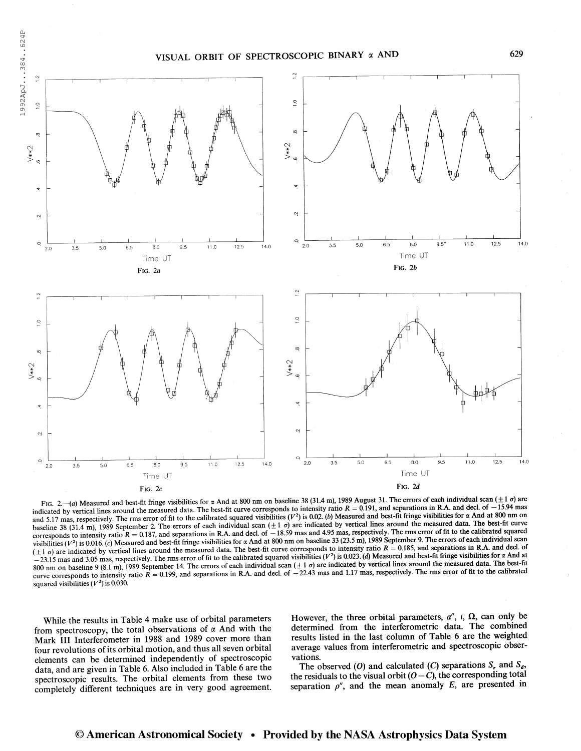

FIG. 2.—(a) Measured and best-fit fringe visibilities for  $\alpha$  And at 800 nm on baseline 38 (31.4 m), 1989 August 31. The errors of each individual scan ( $\pm 1$   $\sigma$ ) are indicated by vertical lines around the measured data. The best-fit curve corresponds to intensity ratio  $R = 0.191$ , and separations in R.A. and decl. of  $-15.94$  mas and 5.17 mas, respectively. The rms error of fit to the calibrated squared visibilities ( $V^2$ ) is 0.02. (b) Measured and best-fit fringe visibilities for a And at 800 nm on and 5.17 mas, respectively. The next fit curve baseline 38 (31.4 m), 1989 September 2. The errors of each individual scan  $(\pm 1 \sigma)$  are indicated by vertical lines around the measured data. The best-fit curve corresponds to intensity ratio  $R = 0.187$ , and separations in R.A. and decl. of  $-18.59$  mas and 4.95 mas, respectively. The rms error of fit to the calibrated squared visibilities  $(V^2)$  is 0.016. (c) Measured and best-fit fringe visibilities for  $\alpha$  And at 800 nm on baseline 33 (23.5 m), 1989 September 9. The errors of each individual scan<br>visibilities  $(V^2)$  is 0.016. (c) Measured a ( $\pm$ 1  $\sigma$ ) are indicated by vertical lines around the measured data. The best-fit curve corresponds to intensity ratio  $R = 0.185$ , and separations in R.A. and decl. of  $-23.15$  mas and 3.05 mas, respectively. The rms er 800 nm on baseline 9 (8.1 m), 1989 September 14. The errors of each individual scan  $(\pm 1 \sigma)$  are indicated by vertical lines around the measured data. The best-fit curve corresponds to intensity ratio  $R = 0.199$ , and separations in R.A. and decl. of  $-22.43$  mas and 1.17 mas, respectively. The rms error of fit to the calibrated squared visibilities  $(V^2)$  is 0.030.

While the results in Table 4 make use of orbital parameters from spectroscopy, the total observations of  $\alpha$  And with the Mark III Interferometer in 1988 and 1989 cover more than four revolutions of its orbital motion, and thus all seven orbital elements can be determined independently of spectroscopic data, and are given in Table 6. Also included in Table 6 are the spectroscopic results. The orbital elements from these two completely different techniques are in very good agreement.

However, the three orbital parameters,  $a''$ , i,  $\Omega$ , can only be determined from the interferometric data. The combined results listed in the last column of Table 6 are the weighted average values from interferometric and spectroscopic observations.

The observed (O) and calculated (C) separations  $S_r$ , and  $S_d$ , the residuals to the visual orbit  $(O - C)$ , the corresponding total separation  $\rho''$ , and the mean anomaly E, are presented in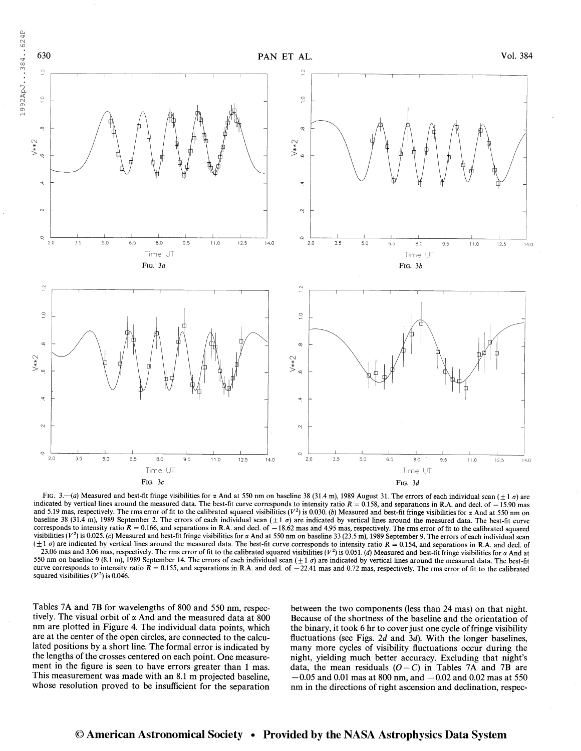

FIG. 3.—(a) Measured and best-fit fringe visibilities for  $\alpha$  And at 550 nm on baseline 38 (31.4 m), 1989 August 31. The errors of each individual scan ( $\pm 1\sigma$ ) are indicated by vertical lines around the measured data. The best-fit curve corresponds to intensity ratio  $R = 0.158$ , and separations in R.A. and decl. of  $-15.90$  mas and 5.19 mas, respectively. The rms error of fit to the calibrated squared visibilities ( $V^2$ ) is 0.030. (b) Measured and best-fit fringe visibilities for  $\alpha$  And at 550 nm on baseline 38 (31.4 m), 1989 September 2. The errors of each individual scan  $(\pm 1 \sigma)$  are indicated by vertical lines around the measured data. The best-fit curve corresponds to intensity ratio  $R = 0.166$ , and separations in R.A. and decl. of  $-18.62$  mas and 4.95 mas, respectively. The rms error of fit to the calibrated squared visibilities ( $V^2$ ) is 0.025. (c) Measured and best-fit fringe visibilities for  $\alpha$  And at 550 nm on baseline 33 (23.5 m), 1989 September 9. The errors of each individual scan visibilities ( $V^2$ ) is 0.025. (c) Measured  $(\pm 1 \sigma)$  are indicated by vertical lines around the measured data. The best-fit curve corresponds to intensity ratio R = 0.154, and separations in R.A. and decl. of  $-23.06$  mas and 3.06 mas, respectively. The rms error of fit to the calibrated squared visibilities (V<sup>2</sup>) is 0.051. (d) Measured and best-fit fringe visibilities for  $\alpha$  And at  $-23.06$  mas and 3.06 mas, respectively. 550 nm on baseline 9 (8.1 m), 1989 September 14. The errors of each individual scan  $(\pm 1 \sigma)$  are indicated by vertical lines around the measured data. The best-fit curve corresponds to intensity ratio  $R = 0.155$ , and separations in R.A. and decl. of  $-22.41$  mas and 0.72 mas, respectively. The rms error of fit to the calibrated squared visibilities  $(V^2)$  is 0.046.

Tables 7A and 7B for wavelengths of 800 and 550 nm, respectively. The visual orbit of  $\alpha$  And and the measured data at 800 nm are plotted in Figure 4. The individual data points, which are at the center of the open circles, are connected to the calculated positions by a short line. The formal error is indicated by the lengths of the crosses centered on each point. One measurement in the figure is seen to have errors greater than <sup>1</sup> mas. This measurement was made with an 8.1 m projected baseline, whose resolution proved to be insufficient for the separation

between the two components (less than 24 mas) on that night. Because of the shortness of the baseline and the orientation of the binary, it took 6 hr to cover just one cycle of fringe visibility fluctuations (see Figs.  $2d$  and  $3d$ ). With the longer baselines, many more cycles of visibility fluctuations occur during the night, yielding much better accuracy. Excluding that night's data, the mean residuals  $(O - C)$  in Tables 7A and 7B are  $-0.05$  and 0.01 mas at 800 nm, and  $-0.02$  and 0.02 mas at 550 nm in the directions of right ascension and declination, respec-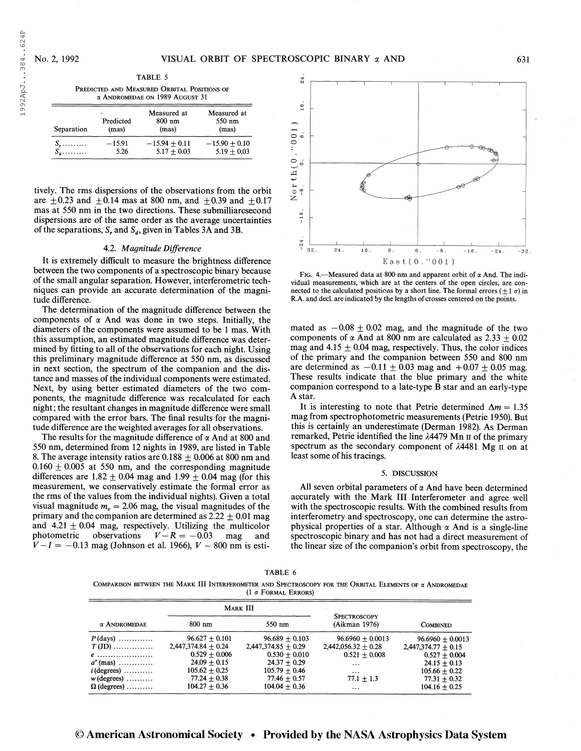1992ApJ. . .384. .624P

1992ApJ...384..624P

TABLE 5 Predicted and Measured Orbital Positions of a Andromedae on 1989 August 31

| Separation | Predicted<br>(mas) | Measured at<br>$800$ nm<br>(mas) | Measured at<br>550 nm<br>(mas) |
|------------|--------------------|----------------------------------|--------------------------------|
| $S_{r}$    | $-15.91$           | $-15.94 + 0.11$                  | $-15.90 + 0.10$                |
| $S_d$      | 5.26               | $5.17 + 0.03$                    | $5.19 + 0.03$                  |

tively. The rms dispersions of the observations from the orbit are  $\pm 0.23$  and  $\pm 0.14$  mas at 800 nm, and  $\pm 0.39$  and  $\pm 0.17$ mas at 550 nm in the two directions. These submilliarcsecond dispersions are of the same order as the average uncertainties of the separations, S, and  $S_d$ , given in Tables 3A and 3B.

# 4.2. Magnitude Difference

It is extremely difficult to measure the brightness difference between the two components of a spectroscopic binary because of the small angular separation. However, interferometric techniques can provide an accurate determination of the magnitude difference.

The determination of the magnitude difference between the components of  $\alpha$  And was done in two steps. Initially, the diameters of the components were assumed to be <sup>1</sup> mas. With this assumption, an estimated magnitude difference was determined by fitting to all of the observations for each night. Using this preliminary magnitude difference at 550 nm, as discussed in next section, the spectrum of the companion and the distance and masses of the individual components were estimated. Next, by using better estimated diameters of the two components, the magnitude difference was recalculated for each night; the resultant changes in magnitude difference were small compared with the error bars. The final results for the magnitude difference are the weighted averages for all observations.

The results for the magnitude difference of  $\alpha$  And at 800 and 550 nm, determined from 12 nights in 1989, are listed in Table 8. The average intensity ratios are  $0.188 \pm 0.006$  at 800 nm and  $0.160 \pm 0.005$  at 550 nm, and the corresponding magnitude differences are  $1.82 \pm 0.04$  mag and  $1.99 \pm 0.04$  mag (for this measurement, we conservatively estimate the formal error as the rms of the values from the individual nights). Given a total visual magnitude  $m<sub>v</sub> = 2.06$  mag, the visual magnitudes of the primary and the companion are determined as  $2.22 \pm 0.01$  mag and  $4.21 \pm 0.04$  mag, respectively. Utilizing the multicolor photometric observations  $V - R = -0.03$  mag and photometric observations  $V - R = -0.03$  mag and  $V-I = -0.13$  mag (Johnson et al. 1966),  $V - 800$  nm is esti-



FIG. 4.—Measured data at 800 nm and apparent orbit of  $\alpha$  And. The individual measurements, which are at the centers of the open circles, are connected to the calculated positions by a short line. The formal errors ( $\pm 1 \sigma$ ) in R.A. and decl. are indicated by the lengths of crosses centered on the points.

mated as  $-0.08 \pm 0.02$  mag, and the magnitude of the two components of  $\alpha$  And at 800 nm are calculated as 2.33  $\pm$  0.02 mag and  $4.15 \pm 0.04$  mag, respectively. Thus, the color indices of the primary and the companion between 550 and 800 nm are determined as  $-0.11 \pm 0.03$  mag and  $+0.07 \pm 0.05$  mag. These results indicate that the blue primary and the white companion correspond to a late-type B star and an early-type A star.

It is interesting to note that Petrie determined  $\Delta m = 1.35$ mag from spectrophotometric measurements (Petrie 1950). But this is certainly an underestimate (Derman 1982). As Derman remarked, Petrie identified the line  $\lambda$ 4479 Mn II of the primary spectrum as the secondary component of  $\lambda$ 4481 Mg  $\text{II}$  on at least some of his tracings.

#### 5. DISCUSSION

All seven orbital parameters of  $\alpha$  And have been determined accurately with the Mark III Interferometer and agree well with the spectroscopic results. With the combined results from interferometry and spectroscopy, one can determine the astrophysical properties of a star. Although  $\alpha$  And is a single-line spectroscopic binary and has not had a direct measurement of the linear size of the companion's orbit from spectroscopy, the

| TABL. |
|-------|
|-------|

Comparison between the Mark III Interferometer and Spectroscopy for the Orbital Elements of a Andromedae (1  $\sigma$  Formal Errors)

|                                      |                       | <b>MARK III</b>       |                                      |                       |
|--------------------------------------|-----------------------|-----------------------|--------------------------------------|-----------------------|
| $\alpha$ ANDROMEDAE                  | 800 nm                | 550 nm                | <b>SPECTROSCOPY</b><br>(Aikman 1976) | <b>COMBINED</b>       |
| $P$ (days)                           | $96.627 + 0.101$      | $96.689 + 0.103$      | $96.6960 + 0.0013$                   | $96.6960 + 0.0013$    |
| $T$ (JD)                             | $2,447,374.84 + 0.24$ | $2,447,374.85 + 0.29$ | $2,442,056.32 + 0.28$                | $2,447,374.77 + 0.15$ |
| $e$                                  | $0.529 + 0.006$       | $0.530 + 0.010$       | $0.521 + 0.008$                      | $0.527 + 0.004$       |
| $a^{\prime\prime}$ (mas)             | $24.09 + 0.15$        | $24.37 + 0.29$        | $\ddots$                             | $24.15 + 0.13$        |
| $i$ (degrees) $\dots\dots\dots\dots$ | $105.62 + 0.25$       | $105.79 \pm 0.46$     | $\cdots$                             | $105.66 + 0.22$       |
| $w$ (degrees) $\dots\dots\dots$      | $77.24 + 0.38$        | $77.46 + 0.57$        | $77.1 + 1.3$                         | $77.31 + 0.32$        |
| $\Omega$ (degrees)                   | $104.27 + 0.36$       | $104.04 + 0.36$       | $\ddots$                             | $104.16 + 0.25$       |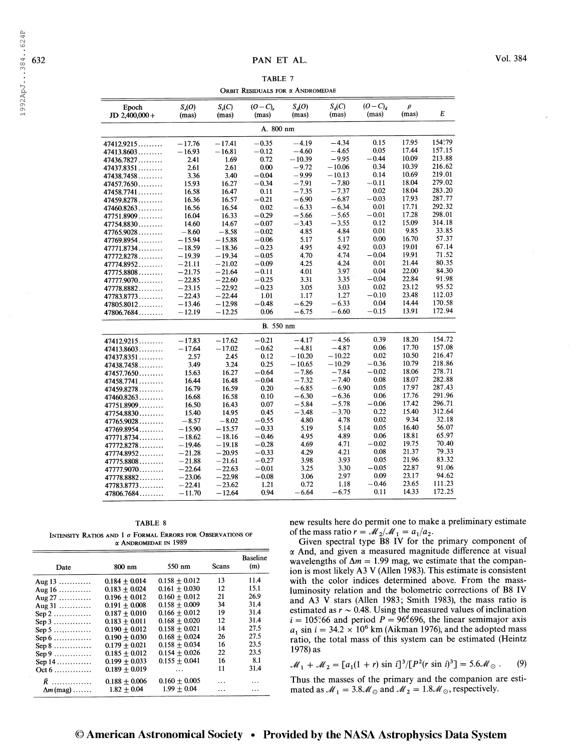TABLE 7 ORBIT RESIDUALS FOR  $\alpha$  ANDROMEDAE

| Epoch<br>JD 2,400,000+ | $S_{n}(O)$<br>(mas) | $S_n(C)$<br>(mas) | $(O - C)$<br>(mas) | $S_d(O)$<br>(mas) | $S_d(C)$<br>(mas) | $(O-C)$<br>(mas) | $\rho$<br>(mas) | E      |  |
|------------------------|---------------------|-------------------|--------------------|-------------------|-------------------|------------------|-----------------|--------|--|
| A. 800 nm              |                     |                   |                    |                   |                   |                  |                 |        |  |
| 47412.9215             | $-17.76$            | $-17.41$          | $-0.35$            | $-4.19$           | $-4.34$           | 0.15             | 17.95           | 154°79 |  |
| 47413.8603             | $-16.93$            | $-16.81$          | $-0.12$            | $-4.60$           | $-4.65$           | 0.05             | 17.44           | 157.15 |  |
| 47436.7827             | 2.41                | 1.69              | 0.72               | $-10.39$          | $-9.95$           | $-0.44$          | 10.09           | 213.88 |  |
| 47437.8351             | 2.61                | 2.61              | 0.00               | $-9.72$           | $-10.06$          | 0.34             | 10.39           | 216.62 |  |
| 47438.7458             | 3.36                | 3.40              | $-0.04$            | $-9.99$           | $-10.13$          | 0.14             | 10.69           | 219.01 |  |
| 47457.7650             | 15.93               | 16.27             | $-0.34$            | $-7.91$           | $-7.80$           | $-0.11$          | 18.04           | 279.02 |  |
| 47458.7741             | 16.58               | 16.47             | 0.11               | $-7.35$           | $-7.37$           | 0.02             | 18.04           | 283.20 |  |
| 47459.8278             | 16.36               | 16.57             | $-0.21$            | $-6.90$           | $-6.87$           | $-0.03$          | 17.93           | 287.77 |  |
| 47460.8263             | 16.56               | 16.54             | 0.02               | $-6.33$           | $-6.34$           | 0.01             | 17.71           | 292.32 |  |
| 47751.8909             | 16.04               | 16.33             | $-0.29$            | $-5.66$           | $-5.65$           | $-0.01$          | 17.28           | 298.01 |  |
| 47754.8830             | 14.60               | 14.67             | $-0.07$            | $-3.43$           | $-3.55$           | 0.12             | 15.09           | 314.18 |  |
| 47765.9028             | $-8.60$             | $-8.58$           | $-0.02$            | 4.85              | 4.84              | 0.01             | 9.85            | 33.85  |  |
| 47769.8954             | $-15.94$            | $-15.88$          | $-0.06$            | 5.17              | 5.17              | 0.00             | 16.70           | 57.37  |  |
| 47771.8734             | $-18.59$            | $-18.36$          | $-0.23$            | 4.95              | 4.92              | 0.03             | 19.01           | 67.14  |  |
| 47772.8278             | $-19.39$            | $-19.34$          | $-0.05$            | 4.70              | 4.74              | $-0.04$          | 19.91           | 71.52  |  |
| 47774.8952             | $-21.11$            | $-21.02$          | $-0.09$            | 4.25              | 4.24              | 0.01             | 21.44           | 80.35  |  |
| 47775.8808             | $-21.75$            | $-21.64$          | $-0.11$            | 4.01              | 3.97              | 0.04             | 22.00           | 84.30  |  |
| $47777.9070$           | $-22.85$            | $-22.60$          | $-0.25$            | 3.31              | 3.35              | $-0.04$          | 22.84           | 91.98  |  |
| 47778.8882             | $-23.15$            | $-22.92$          | $-0.23$            | 3.05              | 3.03              | 0.02             | 23.12           | 95.52  |  |
| 47783.8773             | $-22.43$            | $-22.44$          | 1.01               | 1.17              | 1.27              | $-0.10$          | 23.48           | 112.03 |  |
| 47805.8012             | $-13.46$            | $-12.98$          | $-0.48$            | $-6.29$           | $-6.33$           | 0.04             | 14.44           | 170.58 |  |
| 47806.7684             | $-12.19$            | $-12.25$          | 0.06               | $-6.75$           | $-6.60$           | $-0.15$          | 13.91           | 172.94 |  |
|                        |                     |                   | <b>B.</b> 550 nm   |                   |                   |                  |                 |        |  |
| 47412.9215             | $-17.83$            | $-17.62$          | $-0.21$            | $-4.17$           | $-4.56$           | 0.39             | 18.20           | 154.72 |  |
| 47413.8603             | $-17.64$            | $-17.02$          | $-0.62$            | $-4.81$           | $-4.87$           | 0.06             | 17.70           | 157.08 |  |
| 47437.8351             | 2.57                | 2.45              | 0.12               | $-10.20$          | $-10.22$          | 0.02             | 10.50           | 216.47 |  |
| 47438.7458             | 3.49                | 3.24              | 0.25               | $-10.65$          | $-10.29$          | $-0.36$          | 10.79           | 218.86 |  |
| 47457.7650             | 15.63               | 16.27             | $-0.64$            | $-7.86$           | $-7.84$           | $-0.02$          | 18.06           | 278.71 |  |
| 47458.7741             | 16.44               | 16.48             | $-0.04$            | $-7.32$           | $-7.40$           | 0.08             | 18.07           | 282.88 |  |
| 47459.8278             | 16.79               | 16.59             | 0.20               | $-6.85$           | $-6.90$           | 0.05             | 17.97           | 287.43 |  |
| 47460.8263             | 16.68               | 16.58             | 0.10               | $-6.30$           | $-6.36$           | 0.06             | 17.76           | 291.96 |  |
| 47751.8909             | 16.50               | 16.43             | 0.07               | $-5.84$           | $-5.78$           | $-0.06$          | 17.42           | 296.71 |  |
| 47754.8830             | 15.40               | 14.95             | 0.45               | $-3.48$           | $-3.70$           | 0.22             | 15.40           | 312.64 |  |
| 47765.9028             | $-8.57$             | $-8.02$           | $-0.55$            | 4.80              | 4.78              | 0.02             | 9.34            | 32.18  |  |
| 47769.8954             | $-15.90$            | $-15.57$          | $-0.33$            | 5.19              | 5.14              | 0.05             | 16.40           | 56.07  |  |
| 47771.8734             | $-18.62$            | $-18.16$          | $-0.46$            | 4.95              | 4.89              | 0.06             | 18.81           | 65.97  |  |
| 47772.8278             | $-19.46$            | $-19.18$          | $-0.28$            | 4.69              | 4.71              | $-0.02$          | 19.75           | 70.40  |  |
| 47774.8952             | $-21.28$            | $-20.95$          | $-0.33$            | 4.29              | 4.21              | 0.08             | 21.37           | 79.33  |  |
| 47775.8808             | $-21.88$            | $-21.61$          | $-0.27$            | 3.98              | 3.93              | 0.05             | 21.96           | 83.32  |  |
| 47777.9070             | $-22.64$            | $-22.63$          | $-0.01$            | 3.25              | 3.30              | $-0.05$          | 22.87           | 91.06  |  |
| 47778.8882             | $-23.06$            | $-22.98$          | $-0.08$            | 3.06              | 2.97              | 0.09             | 23.17           | 94.62  |  |
| 47783.8773             | $-22.41$            | $-23.62$          | 1.21               | 0.72              | 1.18              | $-0.46$          | 23.65           | 111.23 |  |
| 47806.7684             | $-11.70$            | $-12.64$          | 0.94               | $-6.64$           | $-6.75$           | 0.11             | 14.33           | 172.25 |  |

TABLE 8 INTENSITY RATIOS AND 1  $\sigma$  Formal Errors for Observations of a Andromedae in 1989

| Date                                    | 800 nm            | 550 nm          | Scans | <b>Baseline</b><br>(m) |
|-----------------------------------------|-------------------|-----------------|-------|------------------------|
| Aug $13$                                | $0.184 \pm 0.014$ | $0.158 + 0.012$ | 13    | 11.4                   |
| Aug $16$                                | $0.183 + 0.024$   | $0.161 + 0.030$ | 12    | 15.1                   |
| Aug $27$                                | $0.196 + 0.012$   | $0.160 + 0.012$ | 21    | 26.9                   |
| Aug $31$                                | $0.191 + 0.008$   | $0.158 + 0.009$ | 34    | 31.4                   |
| $\text{Sep }2 \dots \dots \dots \dots$  | $0.187 + 0.010$   | $0.166 + 0.012$ | 19    | 31.4                   |
| $Sep 3$                                 | $0.183 + 0.011$   | $0.168 + 0.020$ | 12.   | 31.4                   |
| $\text{Sep } 5 \dots \dots \dots \dots$ | $0.190 + 0.012$   | $0.158 + 0.021$ | 14    | 27.5                   |
| $\text{Sep }6 \dots \dots \dots \dots$  | $0.190 + 0.030$   | $0.168 + 0.024$ | 26    | 27.5                   |
| $Sep 8$                                 | $0.179 + 0.021$   | $0.158 + 0.034$ | 16    | 23.5                   |
| $\text{Sep }9 \dots \dots \dots \dots$  | $0.185 + 0.012$   | $0.154 + 0.026$ | 22    | 23.5                   |
| Sep $14$                                | $0.199 + 0.033$   | $0.155 + 0.041$ | 16    | 8.1                    |
| $Oct 6$                                 | $0.189 + 0.019$   | $\cdots$        | 11    | 31.4                   |
| $\bar{R}$                               | $0.188 \pm 0.006$ | $0.160 + 0.005$ |       |                        |
| $\Delta m$ (mag)                        | $1.82 + 0.04$     | $1.99 + 0.04$   |       |                        |

new results here do permit one to make a preliminary estimate of the mass ratio  $r = M_2/M_1 = a_1/a_2$ .

Given spectral type B8 IV for the primary component of  $\alpha$  And, and given a measured magnitude difference at visual wavelengths of  $\Delta m = 1.99$  mag, we estimate that the companion is most likely A3 V (Allen 1983). This estimate is consistent with the color indices determined above. From the massluminosity relation and the bolometric corrections of B8 IV and A3 V stars (Allen 1983; Smith 1983), the mass ratio is estimated as  $r \sim 0.48$ . Using the measured values of inclination  $i = 105^\circ 66$  and period  $P = 96^\circ 696$ , the linear semimajor axis  $a_1$  sin  $i = 34.2 \times 10^6$  km (Aikman 1976), and the adopted mass ratio, the total mass of this system can be estimated (Heintz 1978) as

$$
\mathcal{M}_1 + \mathcal{M}_2 = [a_1(1+r) \sin i]^3/[P^2(r \sin i)^3] = 5.6 \mathcal{M}_{\odot} .
$$
 (9)

Thus the masses of the primary and the companion are esti-Thus the masses of the primary and the companion a<br>mated as  $\mathcal{M}_1 = 3.8\mathcal{M}_{\odot}$  and  $\mathcal{M}_2 = 1.8\mathcal{M}_{\odot}$ , respectively.